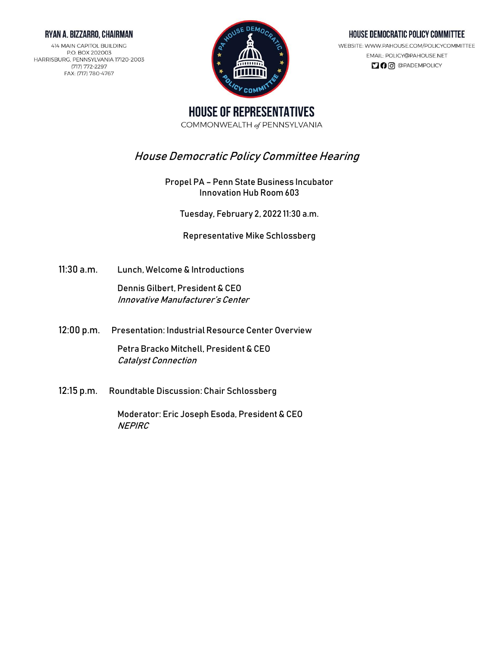# RYAN A. BIZZARRO, CHAIRMAN

414 MAIN CAPITOL BUILDING P.O. BOX 202003 HARRISBURG, PENNSYLVANIA 17120-2003 (717) 772-2297 FAX: (717) 780-4767



### HOUSE DEMOCRATIC POLICY COMMITTEE

WEBSITE: WWW.PAHOUSE.COM/POLICYCOMMITTEE EMAIL: POLICY@PAHOUSE.NET **100** @PADEMPOLICY

**HOUSE OF REPRESENTATIVES** COMMONWEALTH of PENNSYLVANIA

# House Democratic Policy Committee Hearing

Propel PA – Penn State Business Incubator Innovation Hub Room 603

Tuesday, February 2, 2022 11:30 a.m.

Representative Mike Schlossberg

11:30 a.m. Lunch, Welcome & Introductions

Dennis Gilbert, President & CEO Innovative Manufacturer's Center

12:00 p.m. Presentation: Industrial Resource Center Overview

Petra Bracko Mitchell, President & CEO Catalyst Connection

12:15 p.m. Roundtable Discussion: Chair Schlossberg

Moderator: Eric Joseph Esoda, President & CEO **NEPIRC**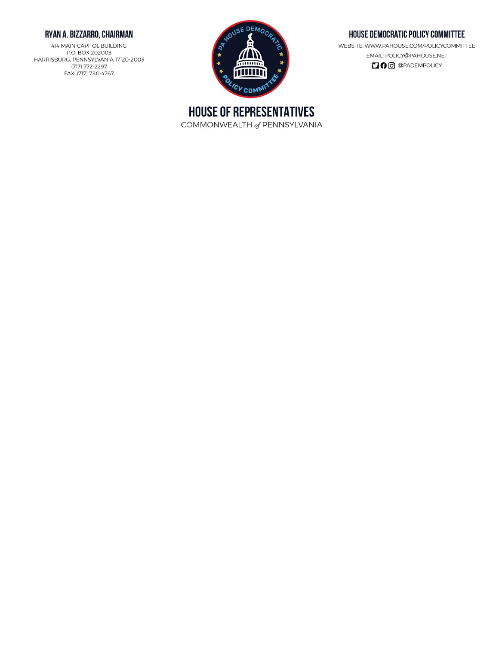# RYAN A. BIZZARRO, CHAIRMAN

414 MAIN CAPITOL BUILDING P.O. BOX 202003 HARRISBURG, PENNSYLVANIA 17120-2003 (717) 772-2297 FAX: (717) 780-4767



# HOUSE DEMOCRATIC POLICY COMMITTEE

WEBSITE: WWW.PAHOUSE.COM/POLICYCOMMITTEE EMAIL: POLICY@PAHOUSE.NET **DO** @PADEMPOLICY

**HOUSE OF REPRESENTATIVES** COMMONWEALTH of PENNSYLVANIA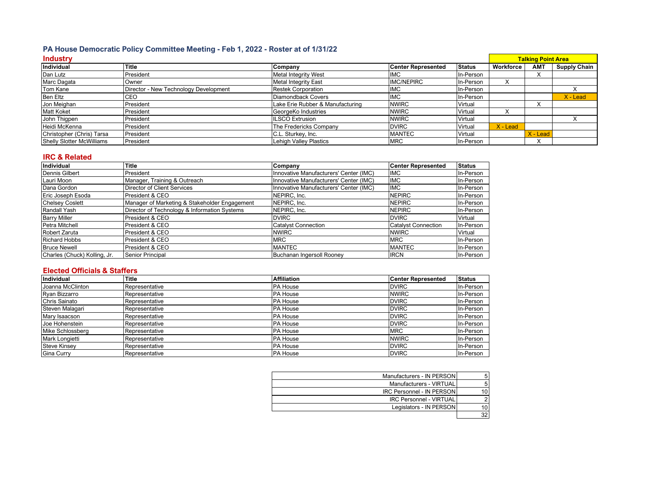# **PA House Democratic Policy Committee Meeting - Feb 1, 2022 - Roster at of 1/31/22**

| <b>Industry</b>                  |                                       |                                  |                           | <b>Talking Point Area</b> |            |            |                     |
|----------------------------------|---------------------------------------|----------------------------------|---------------------------|---------------------------|------------|------------|---------------------|
| Individual                       | <b>Title</b>                          | Company                          | <b>Center Represented</b> | <b>Status</b>             | Workforce  | <b>AMT</b> | <b>Supply Chain</b> |
| Dan Lutz                         | President                             | <b>Metal Integrity West</b>      | <b>IMC</b>                | In-Person                 |            |            |                     |
| Marc Dagata                      | Owner                                 | <b>Metal Integrity East</b>      | <b>IMC/NEPIRC</b>         | In-Person                 |            |            |                     |
| Tom Kane                         | Director - New Technology Development | <b>Restek Corporation</b>        | IMC                       | In-Person                 |            |            |                     |
| <b>Ben Eltz</b>                  | CEO                                   | Diamondback Covers               | <b>IMC</b>                | In-Person                 |            |            | $X -$ Lead          |
| Jon Meighan                      | President                             | Lake Erie Rubber & Manufacturing | <b>NWIRC</b>              | Virtual                   |            | ́          |                     |
| <b>Matt Koket</b>                | President                             | GeorgeKo Industries              | <b>NWIRC</b>              | Virtual                   |            |            |                     |
| John Thigpen                     | President                             | <b>ILSCO Extrusion</b>           | <b>NWIRC</b>              | Virtual                   |            |            |                     |
| Heidi McKenna                    | President                             | The Fredericks Company           | <b>DVIRC</b>              | Virtual                   | $X -$ Lead |            |                     |
| Christopher (Chris) Tarsa        | President                             | C.L. Sturkey, Inc.               | <b>MANTEC</b>             | Virtual                   |            | $X -$ Lead |                     |
| <b>Shelly Slotter McWilliams</b> | President                             | <b>Lehigh Valley Plastics</b>    | <b>MRC</b>                | In-Person                 |            |            |                     |

### **IRC & Related**

| Individual                   | Title                                         | Company                                | <b>Center Represented</b>  | <b>Status</b> |
|------------------------------|-----------------------------------------------|----------------------------------------|----------------------------|---------------|
| Dennis Gilbert               | President                                     | Innovative Manufacturers' Center (IMC) | <b>IMC</b>                 | In-Person     |
| Lauri Moon                   | Manager, Training & Outreach                  | Innovative Manufacturers' Center (IMC) | <b>IMC</b>                 | In-Person     |
| Dana Gordon                  | Director of Client Services                   | Innovative Manufacturers' Center (IMC) | <b>IMC</b>                 | In-Person     |
| Eric Joseph Esoda            | President & CEO                               | NEPIRC. Inc.                           | <b>NEPIRC</b>              | In-Person     |
| <b>Chelsey Coslett</b>       | Manager of Marketing & Stakeholder Engagement | NEPIRC, Inc.                           | <b>NEPIRC</b>              | In-Person     |
| Randall Yash                 | Director of Technology & Information Systems  | NEPIRC, Inc.                           | <b>NEPIRC</b>              | In-Person     |
| <b>Barry Miller</b>          | President & CEO                               | <b>DVIRC</b>                           | <b>DVIRC</b>               | Virtual       |
| Petra Mitchell               | President & CEO                               | <b>Catalyst Connection</b>             | <b>Catalyst Connection</b> | In-Person     |
| <b>Robert Zaruta</b>         | <b>President &amp; CEO</b>                    | <b>NWIRC</b>                           | <b>NWIRC</b>               | Virtual       |
| <b>Richard Hobbs</b>         | President & CEO                               | <b>MRC</b>                             | <b>MRC</b>                 | In-Person     |
| <b>Bruce Newell</b>          | President & CEO                               | <b>MANTEC</b>                          | <b>MANTEC</b>              | In-Person     |
| Charles (Chuck) Kolling, Jr. | <b>Senior Principal</b>                       | Buchanan Ingersoll Rooney              | <b>IRCN</b>                | In-Person     |

#### **Elected Officials & Staffers**

| Individual          | <b>Title</b>   | <b>Affiliation</b> | <b>Center Represented</b> | <b>Status</b> |
|---------------------|----------------|--------------------|---------------------------|---------------|
| Joanna McClinton    | Representative | <b>PA House</b>    | <b>DVIRC</b>              | In-Person     |
| Ryan Bizzarro       | Representative | <b>PA House</b>    | <b>NWIRC</b>              | In-Person     |
| Chris Sainato       | Representative | <b>PA House</b>    | <b>DVIRC</b>              | In-Person     |
| Steven Malagari     | Representative | <b>PA House</b>    | <b>DVIRC</b>              | In-Person     |
| Mary Isaacson       | Representative | <b>PA House</b>    | <b>DVIRC</b>              | In-Person     |
| Joe Hohenstein      | Representative | <b>PA House</b>    | <b>DVIRC</b>              | In-Person     |
| Mike Schlossberg    | Representative | <b>PA House</b>    | <b>MRC</b>                | In-Person     |
| Mark Longietti      | Representative | <b>PA House</b>    | <b>NWIRC</b>              | In-Person     |
| <b>Steve Kinsey</b> | Representative | <b>PA House</b>    | <b>DVIRC</b>              | In-Person     |
| Gina Curry          | Representative | <b>PA House</b>    | <b>DVIRC</b>              | In-Person     |

| Manufacturers - IN PERSON        |  |
|----------------------------------|--|
| Manufacturers - VIRTUAL          |  |
| <b>IRC Personnel - IN PERSON</b> |  |
| <b>IRC Personnel - VIRTUAL</b>   |  |
| Legislators - IN PERSON          |  |
|                                  |  |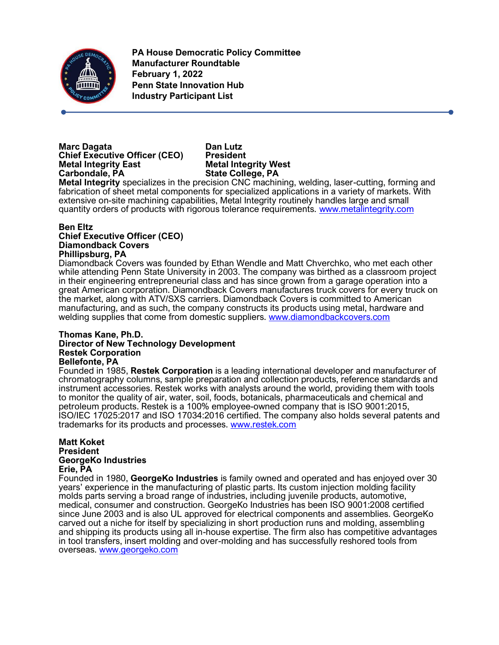

**PA House Democratic Policy Committee Manufacturer Roundtable February 1, 2022 Penn State Innovation Hub Industry Participant List**

# **Marc Dagata Dan Lutz Chief Executive Officer (CEO) President Metal Integrity East Metal Integrity West**

**State College, PA** 

**Metal Integrity** specializes in the precision CNC machining, welding, laser-cutting, forming and fabrication of sheet metal components for specialized applications in a variety of markets. With extensive on-site machining capabilities, Metal Integrity routinely handles large and small quantity orders of products with rigorous tolerance requirements. [www.metalintegrity.com](http://www.metalintegrity.com/)

# **Ben Eltz**

# **Chief Executive Officer (CEO) Diamondback Covers Phillipsburg, PA**

Diamondback Covers was founded by Ethan Wendle and Matt Chverchko, who met each other while attending Penn State University in 2003. The company was birthed as a classroom project in their engineering entrepreneurial class and has since grown from a garage operation into a great American corporation. Diamondback Covers manufactures truck covers for every truck on the market, along with ATV/SXS carriers. Diamondback Covers is committed to American manufacturing, and as such, the company constructs its products using metal, hardware and welding supplies that come from domestic suppliers. [www.diamondbackcovers.com](http://www.diamondbackcovers.com/)

### **Thomas Kane, Ph.D. Director of New Technology Development Restek Corporation Bellefonte, PA**

Founded in 1985, **Restek Corporation** is a leading international developer and manufacturer of chromatography columns, sample preparation and collection products, reference standards and instrument accessories. Restek works with analysts around the world, providing them with tools to monitor the quality of air, water, soil, foods, botanicals, pharmaceuticals and chemical and petroleum products. Restek is a 100% employee-owned company that is ISO 9001:2015, ISO/IEC 17025:2017 and ISO 17034:2016 certified. The company also holds several patents and trademarks for its products and processes. [www.restek.com](http://www.restek.com/)

### **Matt Koket President GeorgeKo Industries Erie, PA**

Founded in 1980, **GeorgeKo Industries** is family owned and operated and has enjoyed over 30 years' experience in the manufacturing of plastic parts. Its custom injection molding facility molds parts serving a broad range of industries, including juvenile products, automotive, medical, consumer and construction. GeorgeKo Industries has been ISO 9001:2008 certified since June 2003 and is also UL approved for electrical components and assemblies. GeorgeKo carved out a niche for itself by specializing in short production runs and molding, assembling and shipping its products using all in-house expertise. The firm also has competitive advantages in tool transfers, insert molding and over-molding and has successfully reshored tools from overseas. [www.georgeko.com](http://www.georgeko.com/)